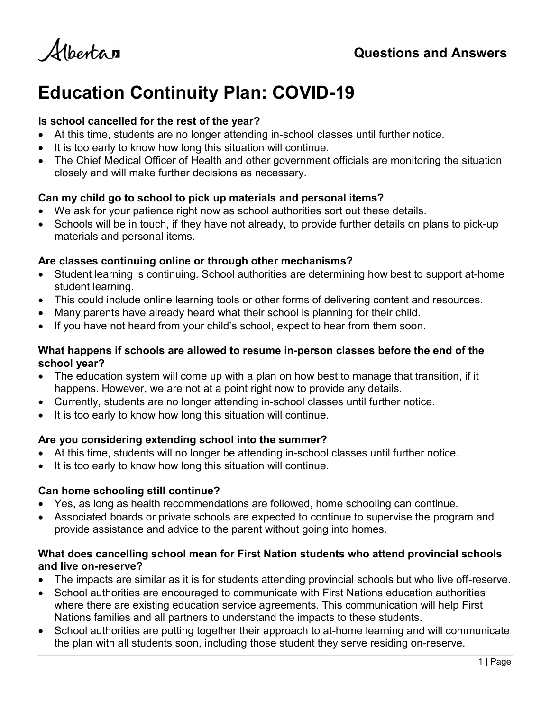Albertan

# Education Continuity Plan: COVID-19

### Is school cancelled for the rest of the year?

- At this time, students are no longer attending in-school classes until further notice.
- It is too early to know how long this situation will continue.
- The Chief Medical Officer of Health and other government officials are monitoring the situation closely and will make further decisions as necessary.

# Can my child go to school to pick up materials and personal items?

- We ask for your patience right now as school authorities sort out these details.
- Schools will be in touch, if they have not already, to provide further details on plans to pick-up materials and personal items.

### Are classes continuing online or through other mechanisms?

- Student learning is continuing. School authorities are determining how best to support at-home student learning.
- This could include online learning tools or other forms of delivering content and resources.
- Many parents have already heard what their school is planning for their child.
- If you have not heard from your child's school, expect to hear from them soon.

### What happens if schools are allowed to resume in-person classes before the end of the school year?

- The education system will come up with a plan on how best to manage that transition, if it happens. However, we are not at a point right now to provide any details.
- Currently, students are no longer attending in-school classes until further notice.
- It is too early to know how long this situation will continue.

# Are you considering extending school into the summer?

- At this time, students will no longer be attending in-school classes until further notice.
- It is too early to know how long this situation will continue.

# Can home schooling still continue?

- Yes, as long as health recommendations are followed, home schooling can continue.
- Associated boards or private schools are expected to continue to supervise the program and provide assistance and advice to the parent without going into homes.

# What does cancelling school mean for First Nation students who attend provincial schools and live on-reserve?

- The impacts are similar as it is for students attending provincial schools but who live off-reserve.
- School authorities are encouraged to communicate with First Nations education authorities where there are existing education service agreements. This communication will help First Nations families and all partners to understand the impacts to these students.
- School authorities are putting together their approach to at-home learning and will communicate the plan with all students soon, including those student they serve residing on-reserve.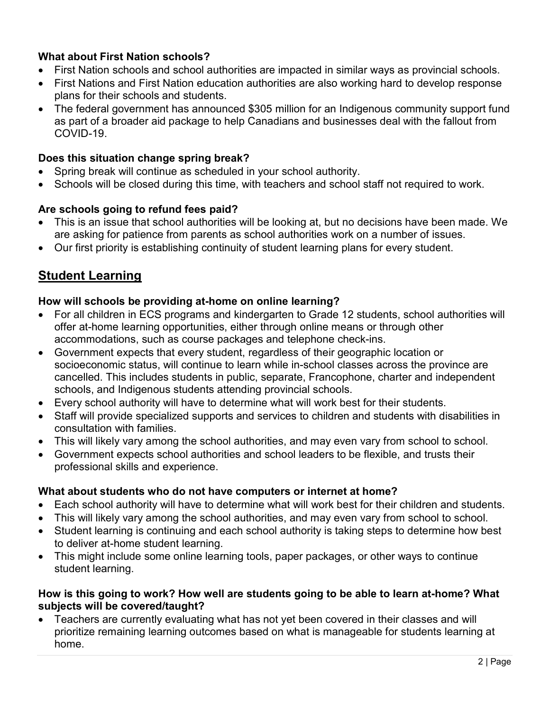# What about First Nation schools?

- First Nation schools and school authorities are impacted in similar ways as provincial schools.
- First Nations and First Nation education authorities are also working hard to develop response plans for their schools and students.
- The federal government has announced \$305 million for an Indigenous community support fund as part of a broader aid package to help Canadians and businesses deal with the fallout from COVID-19.

# Does this situation change spring break?

- Spring break will continue as scheduled in your school authority.
- Schools will be closed during this time, with teachers and school staff not required to work.

### Are schools going to refund fees paid?

- This is an issue that school authorities will be looking at, but no decisions have been made. We are asking for patience from parents as school authorities work on a number of issues.
- Our first priority is establishing continuity of student learning plans for every student.

# **Student Learning**

### How will schools be providing at-home on online learning?

- For all children in ECS programs and kindergarten to Grade 12 students, school authorities will offer at-home learning opportunities, either through online means or through other accommodations, such as course packages and telephone check-ins.
- Government expects that every student, regardless of their geographic location or socioeconomic status, will continue to learn while in-school classes across the province are cancelled. This includes students in public, separate, Francophone, charter and independent schools, and Indigenous students attending provincial schools.
- Every school authority will have to determine what will work best for their students.
- Staff will provide specialized supports and services to children and students with disabilities in consultation with families.
- This will likely vary among the school authorities, and may even vary from school to school.
- Government expects school authorities and school leaders to be flexible, and trusts their professional skills and experience.

### What about students who do not have computers or internet at home?

- Each school authority will have to determine what will work best for their children and students.
- This will likely vary among the school authorities, and may even vary from school to school.
- Student learning is continuing and each school authority is taking steps to determine how best to deliver at-home student learning.
- This might include some online learning tools, paper packages, or other ways to continue student learning.

### How is this going to work? How well are students going to be able to learn at-home? What subjects will be covered/taught?

 Teachers are currently evaluating what has not yet been covered in their classes and will prioritize remaining learning outcomes based on what is manageable for students learning at home.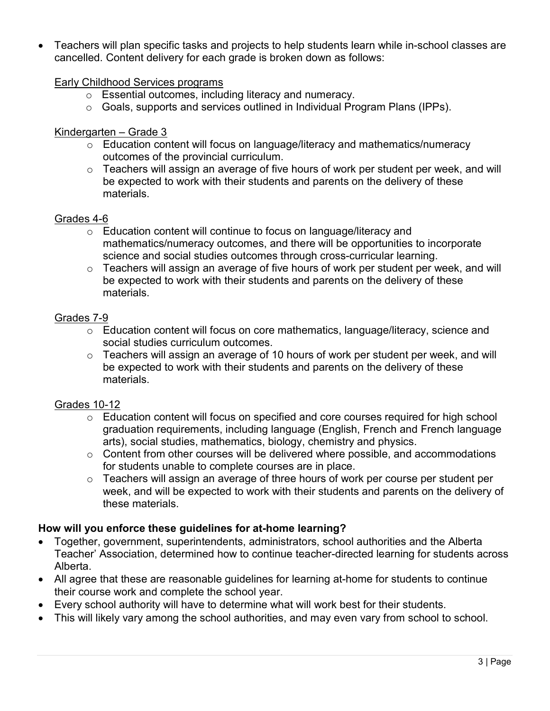Teachers will plan specific tasks and projects to help students learn while in-school classes are cancelled. Content delivery for each grade is broken down as follows:

#### Early Childhood Services programs

- o Essential outcomes, including literacy and numeracy.
- o Goals, supports and services outlined in Individual Program Plans (IPPs).

### Kindergarten – Grade 3

- o Education content will focus on language/literacy and mathematics/numeracy outcomes of the provincial curriculum.
- o Teachers will assign an average of five hours of work per student per week, and will be expected to work with their students and parents on the delivery of these materials.

#### Grades 4-6

- o Education content will continue to focus on language/literacy and mathematics/numeracy outcomes, and there will be opportunities to incorporate science and social studies outcomes through cross-curricular learning.
- o Teachers will assign an average of five hours of work per student per week, and will be expected to work with their students and parents on the delivery of these materials.

#### Grades 7-9

- o Education content will focus on core mathematics, language/literacy, science and social studies curriculum outcomes.
- o Teachers will assign an average of 10 hours of work per student per week, and will be expected to work with their students and parents on the delivery of these materials.

### Grades 10-12

- o Education content will focus on specified and core courses required for high school graduation requirements, including language (English, French and French language arts), social studies, mathematics, biology, chemistry and physics.
- o Content from other courses will be delivered where possible, and accommodations for students unable to complete courses are in place.
- o Teachers will assign an average of three hours of work per course per student per week, and will be expected to work with their students and parents on the delivery of these materials.

### How will you enforce these guidelines for at-home learning?

- Together, government, superintendents, administrators, school authorities and the Alberta Teacher' Association, determined how to continue teacher-directed learning for students across Alberta.
- All agree that these are reasonable guidelines for learning at-home for students to continue their course work and complete the school year.
- Every school authority will have to determine what will work best for their students.
- This will likely vary among the school authorities, and may even vary from school to school.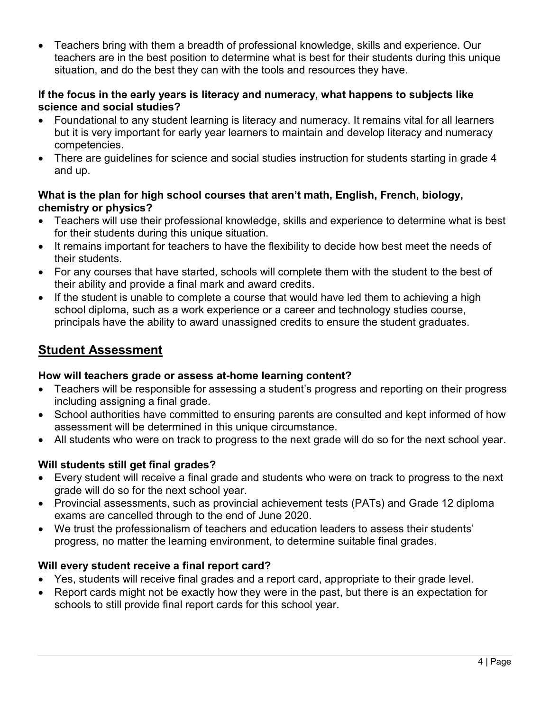Teachers bring with them a breadth of professional knowledge, skills and experience. Our teachers are in the best position to determine what is best for their students during this unique situation, and do the best they can with the tools and resources they have.

### If the focus in the early years is literacy and numeracy, what happens to subjects like science and social studies?

- Foundational to any student learning is literacy and numeracy. It remains vital for all learners but it is very important for early year learners to maintain and develop literacy and numeracy competencies.
- There are guidelines for science and social studies instruction for students starting in grade 4 and up.

### What is the plan for high school courses that aren't math, English, French, biology, chemistry or physics?

- Teachers will use their professional knowledge, skills and experience to determine what is best for their students during this unique situation.
- It remains important for teachers to have the flexibility to decide how best meet the needs of their students.
- For any courses that have started, schools will complete them with the student to the best of their ability and provide a final mark and award credits.
- If the student is unable to complete a course that would have led them to achieving a high school diploma, such as a work experience or a career and technology studies course, principals have the ability to award unassigned credits to ensure the student graduates.

# Student Assessment

# How will teachers grade or assess at-home learning content?

- Teachers will be responsible for assessing a student's progress and reporting on their progress including assigning a final grade.
- School authorities have committed to ensuring parents are consulted and kept informed of how assessment will be determined in this unique circumstance.
- All students who were on track to progress to the next grade will do so for the next school year.

# Will students still get final grades?

- Every student will receive a final grade and students who were on track to progress to the next grade will do so for the next school year.
- Provincial assessments, such as provincial achievement tests (PATs) and Grade 12 diploma exams are cancelled through to the end of June 2020.
- We trust the professionalism of teachers and education leaders to assess their students' progress, no matter the learning environment, to determine suitable final grades.

# Will every student receive a final report card?

- Yes, students will receive final grades and a report card, appropriate to their grade level.
- Report cards might not be exactly how they were in the past, but there is an expectation for schools to still provide final report cards for this school year.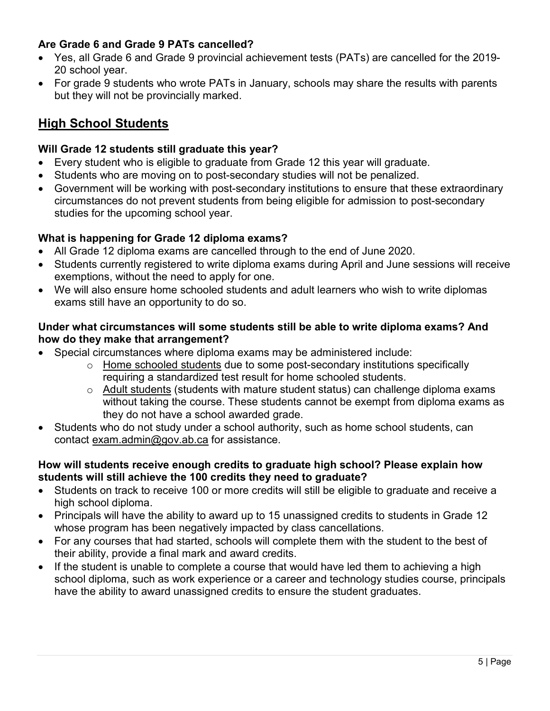# Are Grade 6 and Grade 9 PATs cancelled?

- Yes, all Grade 6 and Grade 9 provincial achievement tests (PATs) are cancelled for the 2019- 20 school year.
- For grade 9 students who wrote PATs in January, schools may share the results with parents but they will not be provincially marked.

# High School Students

### Will Grade 12 students still graduate this year?

- Every student who is eligible to graduate from Grade 12 this year will graduate.
- Students who are moving on to post-secondary studies will not be penalized.
- Government will be working with post-secondary institutions to ensure that these extraordinary circumstances do not prevent students from being eligible for admission to post-secondary studies for the upcoming school year.

### What is happening for Grade 12 diploma exams?

- All Grade 12 diploma exams are cancelled through to the end of June 2020.
- Students currently registered to write diploma exams during April and June sessions will receive exemptions, without the need to apply for one.
- We will also ensure home schooled students and adult learners who wish to write diplomas exams still have an opportunity to do so.

### Under what circumstances will some students still be able to write diploma exams? And how do they make that arrangement?

- Special circumstances where diploma exams may be administered include:
	- $\circ$  Home schooled students due to some post-secondary institutions specifically requiring a standardized test result for home schooled students.
	- o Adult students (students with mature student status) can challenge diploma exams without taking the course. These students cannot be exempt from diploma exams as they do not have a school awarded grade.
- Students who do not study under a school authority, such as home school students, can contact exam.admin@gov.ab.ca for assistance.

### How will students receive enough credits to graduate high school? Please explain how students will still achieve the 100 credits they need to graduate?

- Students on track to receive 100 or more credits will still be eligible to graduate and receive a high school diploma.
- Principals will have the ability to award up to 15 unassigned credits to students in Grade 12 whose program has been negatively impacted by class cancellations.
- For any courses that had started, schools will complete them with the student to the best of their ability, provide a final mark and award credits.
- If the student is unable to complete a course that would have led them to achieving a high school diploma, such as work experience or a career and technology studies course, principals have the ability to award unassigned credits to ensure the student graduates.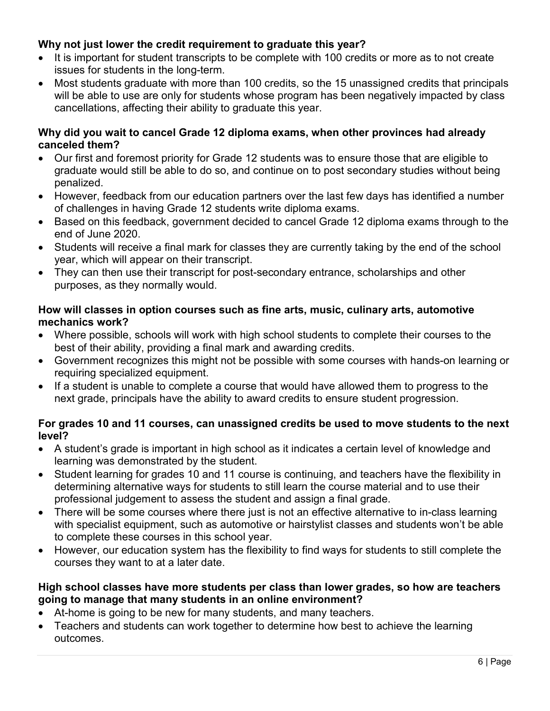# Why not just lower the credit requirement to graduate this year?

- It is important for student transcripts to be complete with 100 credits or more as to not create issues for students in the long-term.
- Most students graduate with more than 100 credits, so the 15 unassigned credits that principals will be able to use are only for students whose program has been negatively impacted by class cancellations, affecting their ability to graduate this year.

### Why did you wait to cancel Grade 12 diploma exams, when other provinces had already canceled them?

- Our first and foremost priority for Grade 12 students was to ensure those that are eligible to graduate would still be able to do so, and continue on to post secondary studies without being penalized.
- However, feedback from our education partners over the last few days has identified a number of challenges in having Grade 12 students write diploma exams.
- Based on this feedback, government decided to cancel Grade 12 diploma exams through to the end of June 2020.
- Students will receive a final mark for classes they are currently taking by the end of the school year, which will appear on their transcript.
- They can then use their transcript for post-secondary entrance, scholarships and other purposes, as they normally would.

### How will classes in option courses such as fine arts, music, culinary arts, automotive mechanics work?

- Where possible, schools will work with high school students to complete their courses to the best of their ability, providing a final mark and awarding credits.
- Government recognizes this might not be possible with some courses with hands-on learning or requiring specialized equipment.
- If a student is unable to complete a course that would have allowed them to progress to the next grade, principals have the ability to award credits to ensure student progression.

### For grades 10 and 11 courses, can unassigned credits be used to move students to the next level?

- A student's grade is important in high school as it indicates a certain level of knowledge and learning was demonstrated by the student.
- Student learning for grades 10 and 11 course is continuing, and teachers have the flexibility in determining alternative ways for students to still learn the course material and to use their professional judgement to assess the student and assign a final grade.
- There will be some courses where there just is not an effective alternative to in-class learning with specialist equipment, such as automotive or hairstylist classes and students won't be able to complete these courses in this school year.
- However, our education system has the flexibility to find ways for students to still complete the courses they want to at a later date.

# High school classes have more students per class than lower grades, so how are teachers going to manage that many students in an online environment?

- At-home is going to be new for many students, and many teachers.
- Teachers and students can work together to determine how best to achieve the learning outcomes.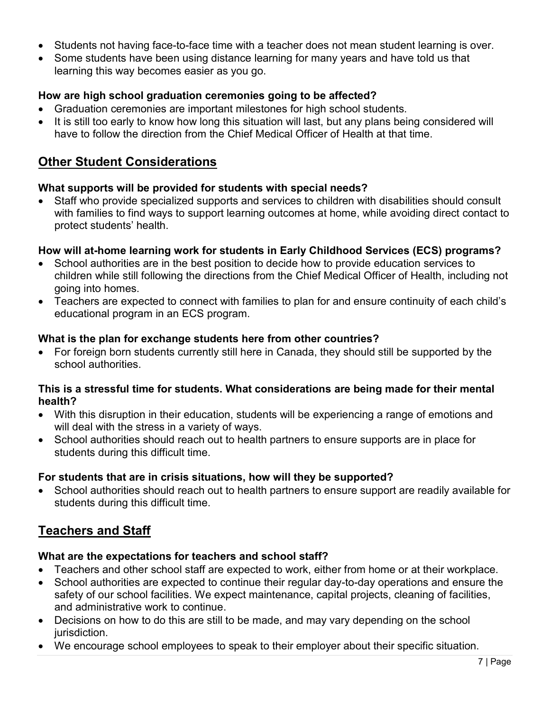- Students not having face-to-face time with a teacher does not mean student learning is over.
- Some students have been using distance learning for many years and have told us that learning this way becomes easier as you go.

# How are high school graduation ceremonies going to be affected?

- Graduation ceremonies are important milestones for high school students.
- It is still too early to know how long this situation will last, but any plans being considered will have to follow the direction from the Chief Medical Officer of Health at that time.

# Other Student Considerations

### What supports will be provided for students with special needs?

 Staff who provide specialized supports and services to children with disabilities should consult with families to find ways to support learning outcomes at home, while avoiding direct contact to protect students' health.

### How will at-home learning work for students in Early Childhood Services (ECS) programs?

- School authorities are in the best position to decide how to provide education services to children while still following the directions from the Chief Medical Officer of Health, including not going into homes.
- Teachers are expected to connect with families to plan for and ensure continuity of each child's educational program in an ECS program.

### What is the plan for exchange students here from other countries?

 For foreign born students currently still here in Canada, they should still be supported by the school authorities.

### This is a stressful time for students. What considerations are being made for their mental health?

- With this disruption in their education, students will be experiencing a range of emotions and will deal with the stress in a variety of ways.
- School authorities should reach out to health partners to ensure supports are in place for students during this difficult time.

# For students that are in crisis situations, how will they be supported?

 School authorities should reach out to health partners to ensure support are readily available for students during this difficult time.

# Teachers and Staff

### What are the expectations for teachers and school staff?

- Teachers and other school staff are expected to work, either from home or at their workplace.
- School authorities are expected to continue their regular day-to-day operations and ensure the safety of our school facilities. We expect maintenance, capital projects, cleaning of facilities, and administrative work to continue.
- Decisions on how to do this are still to be made, and may vary depending on the school jurisdiction.
- We encourage school employees to speak to their employer about their specific situation.